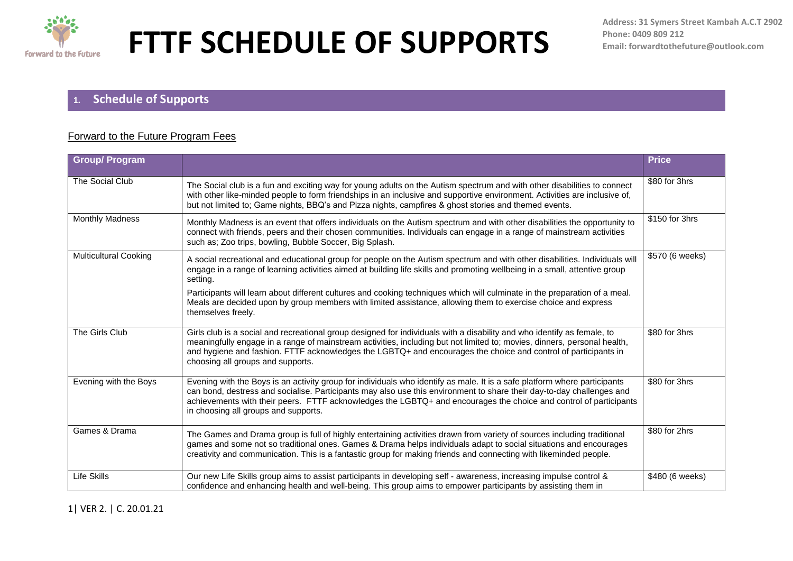

### **1. Schedule of Supports**

#### Forward to the Future Program Fees

| <b>Group/ Program</b>        |                                                                                                                                                                                                                                                                                                                                                                                                                 | <b>Price</b>    |
|------------------------------|-----------------------------------------------------------------------------------------------------------------------------------------------------------------------------------------------------------------------------------------------------------------------------------------------------------------------------------------------------------------------------------------------------------------|-----------------|
| The Social Club              | The Social club is a fun and exciting way for young adults on the Autism spectrum and with other disabilities to connect<br>with other like-minded people to form friendships in an inclusive and supportive environment. Activities are inclusive of,<br>but not limited to; Game nights, BBQ's and Pizza nights, campfires & ghost stories and themed events.                                                 | \$80 for 3hrs   |
| <b>Monthly Madness</b>       | Monthly Madness is an event that offers individuals on the Autism spectrum and with other disabilities the opportunity to<br>connect with friends, peers and their chosen communities. Individuals can engage in a range of mainstream activities<br>such as; Zoo trips, bowling, Bubble Soccer, Big Splash.                                                                                                    | \$150 for 3hrs  |
| <b>Multicultural Cooking</b> | A social recreational and educational group for people on the Autism spectrum and with other disabilities. Individuals will<br>engage in a range of learning activities aimed at building life skills and promoting wellbeing in a small, attentive group<br>setting.                                                                                                                                           | \$570 (6 weeks) |
|                              | Participants will learn about different cultures and cooking techniques which will culminate in the preparation of a meal.<br>Meals are decided upon by group members with limited assistance, allowing them to exercise choice and express<br>themselves freely.                                                                                                                                               |                 |
| The Girls Club               | Girls club is a social and recreational group designed for individuals with a disability and who identify as female, to<br>meaningfully engage in a range of mainstream activities, including but not limited to; movies, dinners, personal health,<br>and hygiene and fashion. FTTF acknowledges the LGBTQ+ and encourages the choice and control of participants in<br>choosing all groups and supports.      | \$80 for 3hrs   |
| Evening with the Boys        | Evening with the Boys is an activity group for individuals who identify as male. It is a safe platform where participants<br>can bond, destress and socialise. Participants may also use this environment to share their day-to-day challenges and<br>achievements with their peers. FTTF acknowledges the LGBTQ+ and encourages the choice and control of participants<br>in choosing all groups and supports. | \$80 for 3hrs   |
| Games & Drama                | The Games and Drama group is full of highly entertaining activities drawn from variety of sources including traditional<br>games and some not so traditional ones. Games & Drama helps individuals adapt to social situations and encourages<br>creativity and communication. This is a fantastic group for making friends and connecting with likeminded people.                                               | \$80 for 2hrs   |
| Life Skills                  | Our new Life Skills group aims to assist participants in developing self - awareness, increasing impulse control &<br>confidence and enhancing health and well-being. This group aims to empower participants by assisting them in                                                                                                                                                                              | \$480 (6 weeks) |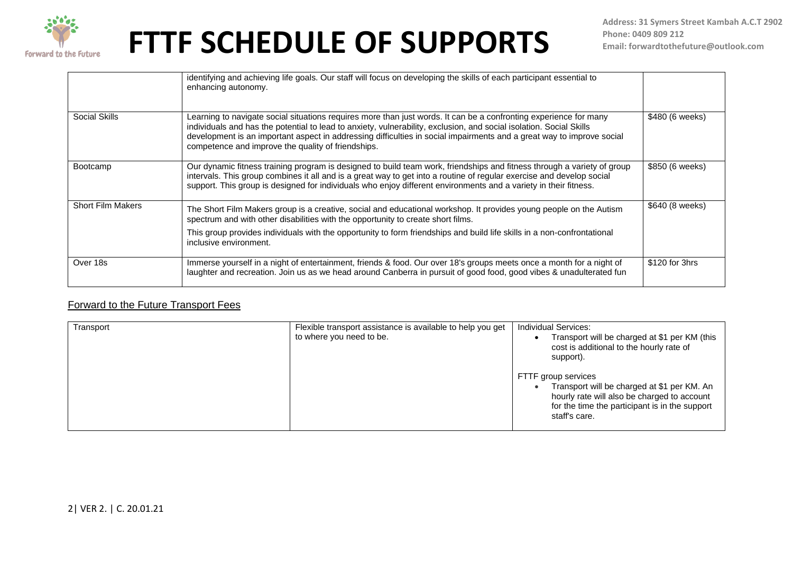

|                          | identifying and achieving life goals. Our staff will focus on developing the skills of each participant essential to<br>enhancing autonomy.                                                                                                                                                                                                                                                                             |                 |
|--------------------------|-------------------------------------------------------------------------------------------------------------------------------------------------------------------------------------------------------------------------------------------------------------------------------------------------------------------------------------------------------------------------------------------------------------------------|-----------------|
| Social Skills            | Learning to navigate social situations requires more than just words. It can be a confronting experience for many<br>individuals and has the potential to lead to anxiety, vulnerability, exclusion, and social isolation. Social Skills<br>development is an important aspect in addressing difficulties in social impairments and a great way to improve social<br>competence and improve the quality of friendships. | \$480 (6 weeks) |
| Bootcamp                 | Our dynamic fitness training program is designed to build team work, friendships and fitness through a variety of group<br>intervals. This group combines it all and is a great way to get into a routine of regular exercise and develop social<br>support. This group is designed for individuals who enjoy different environments and a variety in their fitness.                                                    | \$850 (6 weeks) |
| <b>Short Film Makers</b> | The Short Film Makers group is a creative, social and educational workshop. It provides young people on the Autism<br>spectrum and with other disabilities with the opportunity to create short films.<br>This group provides individuals with the opportunity to form friendships and build life skills in a non-confrontational<br>inclusive environment.                                                             | \$640 (8 weeks) |
| Over 18s                 | Immerse yourself in a night of entertainment, friends & food. Our over 18's groups meets once a month for a night of<br>laughter and recreation. Join us as we head around Canberra in pursuit of good food, good vibes & unadulterated fun                                                                                                                                                                             | \$120 for 3hrs  |

### Forward to the Future Transport Fees

| Transport | Flexible transport assistance is available to help you get<br>to where you need to be. | <b>Individual Services:</b><br>Transport will be charged at \$1 per KM (this<br>cost is additional to the hourly rate of<br>support).                                                |
|-----------|----------------------------------------------------------------------------------------|--------------------------------------------------------------------------------------------------------------------------------------------------------------------------------------|
|           |                                                                                        | FTTF group services<br>Transport will be charged at \$1 per KM. An<br>hourly rate will also be charged to account<br>for the time the participant is in the support<br>staff's care. |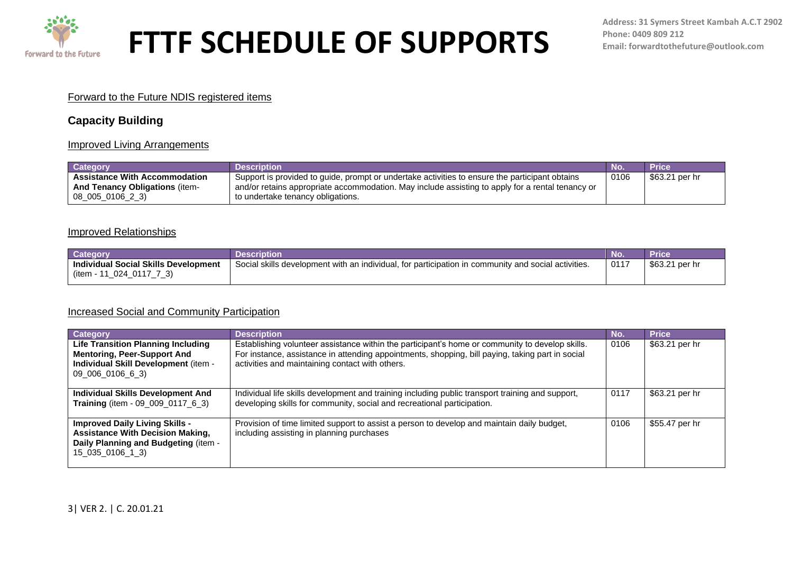

#### Forward to the Future NDIS registered items

### **Capacity Building**

#### Improved Living Arrangements

| Category                                                                                          | Description                                                                                                                                                                                                                             | No.  | Price          |
|---------------------------------------------------------------------------------------------------|-----------------------------------------------------------------------------------------------------------------------------------------------------------------------------------------------------------------------------------------|------|----------------|
| <b>Assistance With Accommodation</b><br><b>And Tenancy Obligations (item-</b><br>08 005 0106 2 3) | Support is provided to guide, prompt or undertake activities to ensure the participant obtains<br>and/or retains appropriate accommodation. May include assisting to apply for a rental tenancy or<br>to undertake tenancy obligations. | 0106 | \$63.21 per hr |

#### Improved Relationships

| <b>Catego</b>                                                      |                                                                                                                    | <b>NC</b> |                   |
|--------------------------------------------------------------------|--------------------------------------------------------------------------------------------------------------------|-----------|-------------------|
| <b>Individual Social Skills Development</b><br>024<br>(item -<br>ີ | Social skills<br>s development with an individual, for participation in<br>v and social activities.<br>າ community | 0117      | \$63.21<br>per hr |

#### Increased Social and Community Participation

| <b>Category</b>                                                                                                                              | <b>Description</b>                                                                                                                                                                                                                                     | No.  | <b>Price</b>   |
|----------------------------------------------------------------------------------------------------------------------------------------------|--------------------------------------------------------------------------------------------------------------------------------------------------------------------------------------------------------------------------------------------------------|------|----------------|
| <b>Life Transition Planning Including</b><br><b>Mentoring, Peer-Support And</b><br>Individual Skill Development (item -<br>09_006_0106_6_3)  | Establishing volunteer assistance within the participant's home or community to develop skills.<br>For instance, assistance in attending appointments, shopping, bill paying, taking part in social<br>activities and maintaining contact with others. | 0106 | \$63.21 per hr |
| Individual Skills Development And<br>Training (item - 09_009_0117_6_3)                                                                       | Individual life skills development and training including public transport training and support,<br>developing skills for community, social and recreational participation.                                                                            | 0117 | \$63.21 per hr |
| <b>Improved Daily Living Skills -</b><br><b>Assistance With Decision Making,</b><br>Daily Planning and Budgeting (item -<br>15 035 0106 1 3) | Provision of time limited support to assist a person to develop and maintain daily budget,<br>including assisting in planning purchases                                                                                                                | 0106 | \$55.47 per hr |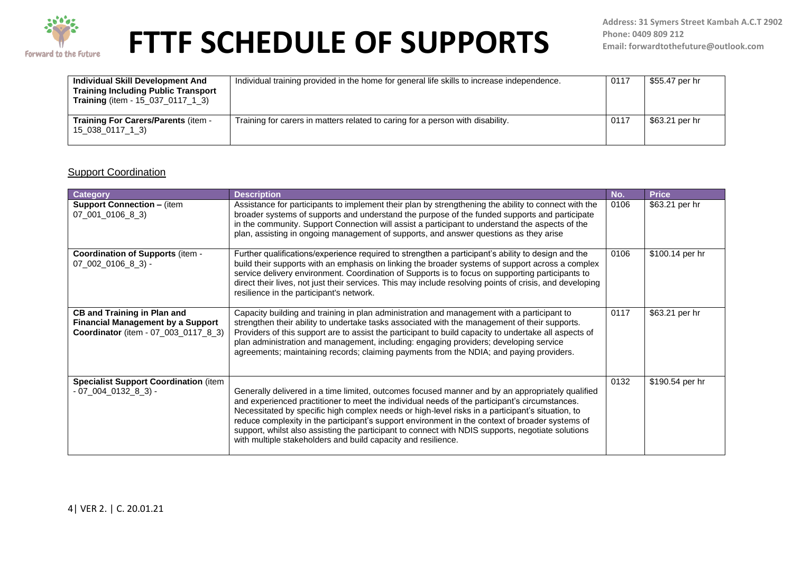

| Individual Skill Development And<br><b>Training Including Public Transport</b><br><b>Training</b> (item - 15_037_0117_1_3) | Individual training provided in the home for general life skills to increase independence. | 0117 | \$55.47 per hr |
|----------------------------------------------------------------------------------------------------------------------------|--------------------------------------------------------------------------------------------|------|----------------|
| Training For Carers/Parents (item -<br>15_038_0117_1_3)                                                                    | Training for carers in matters related to caring for a person with disability.             | 0117 | \$63.21 per hr |

### **Support Coordination**

| Category                                                                                                               | <b>Description</b>                                                                                                                                                                                                                                                                                                                                                                                                                                                                                                                                                             | No.  | <b>Price</b>    |
|------------------------------------------------------------------------------------------------------------------------|--------------------------------------------------------------------------------------------------------------------------------------------------------------------------------------------------------------------------------------------------------------------------------------------------------------------------------------------------------------------------------------------------------------------------------------------------------------------------------------------------------------------------------------------------------------------------------|------|-----------------|
| <b>Support Connection - (item</b><br>07_001_0106_8_3)                                                                  | Assistance for participants to implement their plan by strengthening the ability to connect with the<br>broader systems of supports and understand the purpose of the funded supports and participate<br>in the community. Support Connection will assist a participant to understand the aspects of the<br>plan, assisting in ongoing management of supports, and answer questions as they arise                                                                                                                                                                              | 0106 | \$63.21 per hr  |
| <b>Coordination of Supports (item -</b><br>$07_002_0106_8_3$ -                                                         | Further qualifications/experience required to strengthen a participant's ability to design and the<br>build their supports with an emphasis on linking the broader systems of support across a complex<br>service delivery environment. Coordination of Supports is to focus on supporting participants to<br>direct their lives, not just their services. This may include resolving points of crisis, and developing<br>resilience in the participant's network.                                                                                                             | 0106 | \$100.14 per hr |
| <b>CB and Training in Plan and</b><br><b>Financial Management by a Support</b><br>Coordinator (item - 07_003_0117_8_3) | Capacity building and training in plan administration and management with a participant to<br>strengthen their ability to undertake tasks associated with the management of their supports.<br>Providers of this support are to assist the participant to build capacity to undertake all aspects of<br>plan administration and management, including: engaging providers; developing service<br>agreements; maintaining records; claiming payments from the NDIA; and paying providers.                                                                                       | 0117 | \$63.21 per hr  |
| <b>Specialist Support Coordination (item</b><br>- 07_004_0132_8_3) -                                                   | Generally delivered in a time limited, outcomes focused manner and by an appropriately qualified<br>and experienced practitioner to meet the individual needs of the participant's circumstances.<br>Necessitated by specific high complex needs or high-level risks in a participant's situation, to<br>reduce complexity in the participant's support environment in the context of broader systems of<br>support, whilst also assisting the participant to connect with NDIS supports, negotiate solutions<br>with multiple stakeholders and build capacity and resilience. | 0132 | \$190.54 per hr |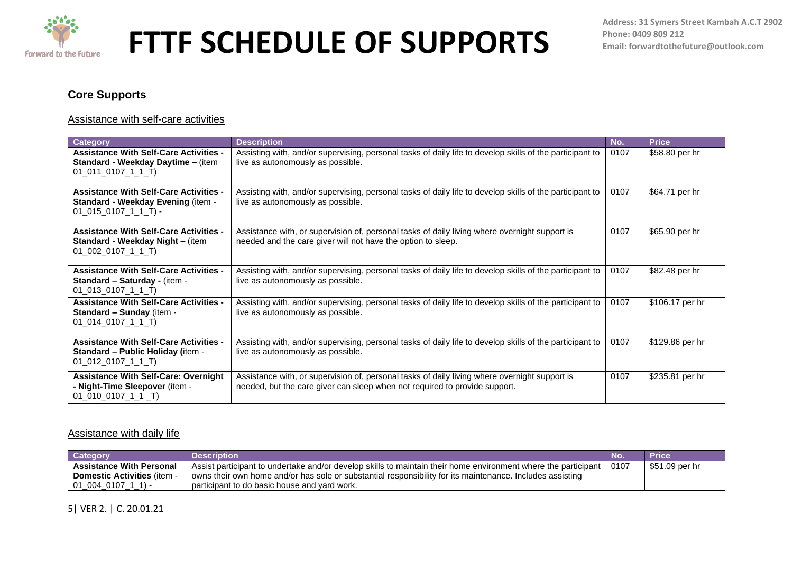

### **Core Supports**

#### Assistance with self-care activities

| <b>Category</b>                                                                                                 | <b>Description</b>                                                                                                                                                          | No.  | <b>Price</b>    |
|-----------------------------------------------------------------------------------------------------------------|-----------------------------------------------------------------------------------------------------------------------------------------------------------------------------|------|-----------------|
| <b>Assistance With Self-Care Activities -</b><br>Standard - Weekday Daytime - (item<br>$01_011_0107_11_1$       | Assisting with, and/or supervising, personal tasks of daily life to develop skills of the participant to<br>live as autonomously as possible.                               | 0107 | \$58.80 per hr  |
| <b>Assistance With Self-Care Activities -</b><br>Standard - Weekday Evening (item -<br>$01$ 015 0107 1 1 T) -   | Assisting with, and/or supervising, personal tasks of daily life to develop skills of the participant to<br>live as autonomously as possible.                               | 0107 | \$64.71 per hr  |
| <b>Assistance With Self-Care Activities -</b><br><b>Standard - Weekday Night - (item</b><br>01 002 0107 1 1 T)  | Assistance with, or supervision of, personal tasks of daily living where overnight support is<br>needed and the care giver will not have the option to sleep.               | 0107 | \$65.90 per hr  |
| <b>Assistance With Self-Care Activities -</b><br>Standard - Saturday - (item -<br>$01_013_0107_11_1$            | Assisting with, and/or supervising, personal tasks of daily life to develop skills of the participant to<br>live as autonomously as possible.                               | 0107 | \$82.48 per hr  |
| <b>Assistance With Self-Care Activities -</b><br>Standard - Sunday (item -<br>01 014 0107 1 1 T)                | Assisting with, and/or supervising, personal tasks of daily life to develop skills of the participant to<br>live as autonomously as possible.                               | 0107 | \$106.17 per hr |
| <b>Assistance With Self-Care Activities -</b><br><b>Standard - Public Holiday (item -</b><br>$01_012_0107_11_1$ | Assisting with, and/or supervising, personal tasks of daily life to develop skills of the participant to<br>live as autonomously as possible.                               | 0107 | \$129.86 per hr |
| <b>Assistance With Self-Care: Overnight</b><br>- Night-Time Sleepover (item -<br>01 010 0107 1 1 T)             | Assistance with, or supervision of, personal tasks of daily living where overnight support is<br>needed, but the care giver can sleep when not required to provide support. | 0107 | \$235.81 per hr |

#### Assistance with daily life

| Categor                            | Description                                                                                                           | <b>Price</b>   |
|------------------------------------|-----------------------------------------------------------------------------------------------------------------------|----------------|
| <b>Assistance With Personal</b>    | Assist participant to undertake and/or develop skills to maintain their home environment where the participant   0107 | \$51.09 per hr |
| <b>Domestic Activities (item -</b> | owns their own home and/or has sole or substantial responsibility for its maintenance. Includes assisting             |                |
| 01 004 0107                        | participant to do basic house and vard work.                                                                          |                |

### 5| VER 2. | C. 20.01.21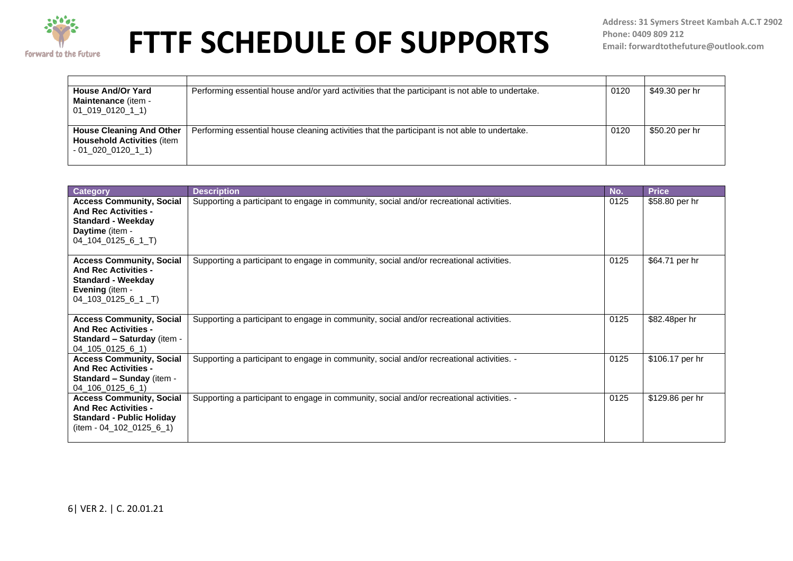

**Address: 31 Symers Street Kambah A.C.T 2902 Phone: 0409 809 212 Email: forwardtothefuture@outlook.com**

| <b>House And/Or Yard</b><br><b>Maintenance (item -</b><br>01 019 0120 1 1)                  | Performing essential house and/or yard activities that the participant is not able to undertake. | 0120 | \$49.30 per hr |
|---------------------------------------------------------------------------------------------|--------------------------------------------------------------------------------------------------|------|----------------|
| <b>House Cleaning And Other</b><br><b>Household Activities (item</b><br>$-01$ 020 0120 1 1) | Performing essential house cleaning activities that the participant is not able to undertake.    | 0120 | \$50.20 per hr |

| <b>Category</b>                                                                                                                              | <b>Description</b>                                                                        | No.  | <b>Price</b>    |
|----------------------------------------------------------------------------------------------------------------------------------------------|-------------------------------------------------------------------------------------------|------|-----------------|
| <b>Access Community, Social</b><br><b>And Rec Activities -</b><br><b>Standard - Weekday</b><br>Daytime (item -<br>04_104_0125_6_1_T)         | Supporting a participant to engage in community, social and/or recreational activities.   | 0125 | \$58.80 per hr  |
| <b>Access Community, Social</b><br><b>And Rec Activities -</b><br><b>Standard - Weekday</b><br><b>Evening (item -</b><br>$04$ 103 0125 6 1 T | Supporting a participant to engage in community, social and/or recreational activities.   | 0125 | \$64.71 per hr  |
| <b>Access Community, Social</b><br><b>And Rec Activities -</b><br><b>Standard - Saturday (item -</b><br>04 105 0125 6 1)                     | Supporting a participant to engage in community, social and/or recreational activities.   | 0125 | \$82.48per hr   |
| <b>Access Community, Social</b><br><b>And Rec Activities -</b><br>Standard - Sunday (item -<br>$04$ 106 0125 6 1)                            | Supporting a participant to engage in community, social and/or recreational activities. - | 0125 | \$106.17 per hr |
| <b>Access Community, Social</b><br><b>And Rec Activities -</b><br><b>Standard - Public Holiday</b><br>(item - 04_102_0125_6_1)               | Supporting a participant to engage in community, social and/or recreational activities. - | 0125 | \$129.86 per hr |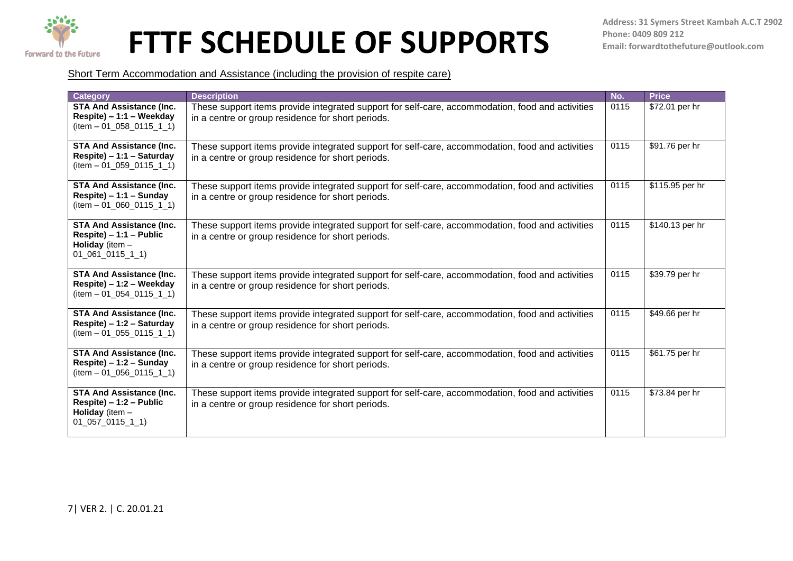

Short Term Accommodation and Assistance (including the provision of respite care)

| <b>Category</b>                                                                                             | <b>Description</b>                                                                                                                                    | No.  | <b>Price</b>    |
|-------------------------------------------------------------------------------------------------------------|-------------------------------------------------------------------------------------------------------------------------------------------------------|------|-----------------|
| <b>STA And Assistance (Inc.</b><br>Respite) - 1:1 - Weekday<br>$item - 01_058_0115_11$                      | These support items provide integrated support for self-care, accommodation, food and activities<br>in a centre or group residence for short periods. | 0115 | \$72.01 per hr  |
| <b>STA And Assistance (Inc.</b><br>Respite) – 1:1 – Saturday<br>$item - 01_059_0115_11$                     | These support items provide integrated support for self-care, accommodation, food and activities<br>in a centre or group residence for short periods. | 0115 | \$91.76 per hr  |
| <b>STA And Assistance (Inc.</b><br>Respite) - 1:1 - Sunday<br>$item - 01_060_0115_11$                       | These support items provide integrated support for self-care, accommodation, food and activities<br>in a centre or group residence for short periods. | 0115 | \$115.95 per hr |
| <b>STA And Assistance (Inc.</b><br>$Respite$ ) – 1:1 – Public<br>Holiday (item $-$<br>$01\_061\_0115\_1\_1$ | These support items provide integrated support for self-care, accommodation, food and activities<br>in a centre or group residence for short periods. | 0115 | \$140.13 per hr |
| <b>STA And Assistance (Inc.</b><br>Respite) – 1:2 – Weekday<br>$item - 01_054_0115_11$                      | These support items provide integrated support for self-care, accommodation, food and activities<br>in a centre or group residence for short periods. | 0115 | \$39.79 per hr  |
| <b>STA And Assistance (Inc.</b><br>Respite) - 1:2 - Saturday<br>$item - 01_055_0115_11$                     | These support items provide integrated support for self-care, accommodation, food and activities<br>in a centre or group residence for short periods. | 0115 | \$49.66 per hr  |
| <b>STA And Assistance (Inc.</b><br>Respite) - 1:2 - Sunday<br>$item - 01$ 056 0115 1 1)                     | These support items provide integrated support for self-care, accommodation, food and activities<br>in a centre or group residence for short periods. | 0115 | \$61.75 per hr  |
| <b>STA And Assistance (Inc.</b><br>Respite) - 1:2 - Public<br><b>Holiday</b> (item $-$<br>$01_057_0115_11$  | These support items provide integrated support for self-care, accommodation, food and activities<br>in a centre or group residence for short periods. | 0115 | \$73.84 per hr  |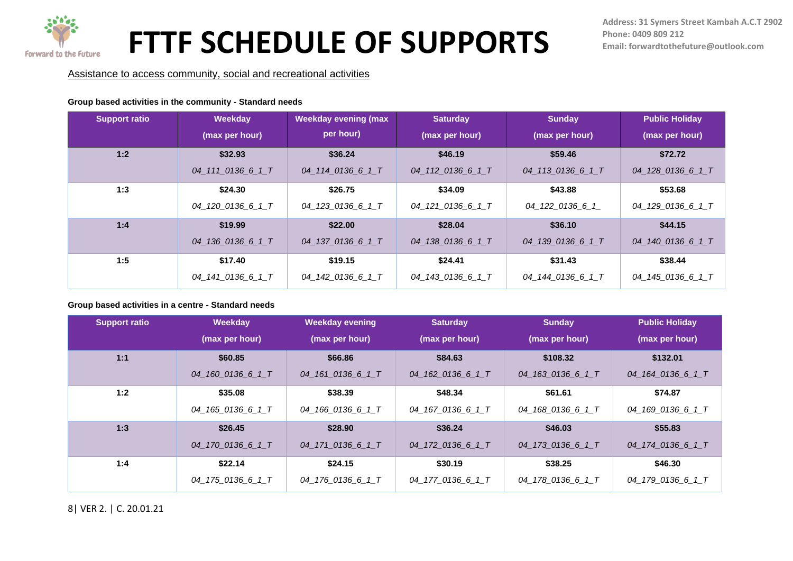

Assistance to access community, social and recreational activities

#### **Group based activities in the community - Standard needs**

| <b>Support ratio</b> | Weekday           | <b>Weekday evening (max</b> | <b>Saturday</b>   | <b>Sunday</b>     | <b>Public Holiday</b> |
|----------------------|-------------------|-----------------------------|-------------------|-------------------|-----------------------|
|                      | (max per hour)    | per hour)                   | (max per hour)    | (max per hour)    | (max per hour)        |
| 1:2                  | \$32.93           | \$36.24                     | \$46.19           | \$59.46           | \$72.72               |
|                      | 04 111 0136 6 1 T | 04_114_0136_6_1_T           | 04 112 0136 6 1 T | 04_113_0136_6_1_T | 04_128_0136_6_1_T     |
| 1:3                  | \$24.30           | \$26.75                     | \$34.09           | \$43.88           | \$53.68               |
|                      | 04_120_0136_6_1_T | 04_123_0136_6_1_T           | 04_121_0136_6_1_T | 04 122 0136 6 1   | 04_129_0136_6_1_T     |
| 1:4                  | \$19.99           | \$22.00                     | \$28.04           | \$36.10           | \$44.15               |
|                      | 04 136 0136 6 1 T | 04 137 0136 6 1 T           | 04 138 0136 6 1 T | 04 139 0136 6 1 T | 04 140 0136 6 1 T     |
| 1:5                  | \$17.40           | \$19.15                     | \$24.41           | \$31.43           | \$38.44               |
|                      | 04_141_0136_6_1_T | 04_142_0136_6_1_T           | 04_143_0136_6_1_T | 04 144 0136 6 1 T | 04_145_0136_6_1_T     |

#### **Group based activities in a centre - Standard needs**

| <b>Support ratio</b> | Weekday           | <b>Weekday evening</b> | <b>Saturday</b>   | <b>Sunday</b>     | <b>Public Holiday</b> |
|----------------------|-------------------|------------------------|-------------------|-------------------|-----------------------|
|                      | (max per hour)    | (max per hour)         | (max per hour)    | (max per hour)    | (max per hour)        |
| 1:1                  | \$60.85           | \$66.86                | \$84.63           | \$108.32          | \$132.01              |
|                      | 04 160 0136 6 1 T | 04 161 0136 6 1 T      | 04 162 0136 6 1 T | 04 163 0136 6 1 T | 04 164 0136 6 1 T     |
| 1:2                  | \$35.08           | \$38.39                | \$48.34           | \$61.61           | \$74.87               |
|                      | 04_165_0136_6_1_T | 04_166_0136_6_1_T      | 04_167_0136_6_1_T | 04_168_0136_6_1_T | 04_169_0136_6_1_T     |
| 1:3                  | \$26.45           | \$28.90                | \$36.24           | \$46.03           | \$55.83               |
|                      | 04 170 0136 6 1 T | 04 171 0136 6 1 T      | 04 172 0136 6 1 T | 04 173 0136 6 1 T | 04 174 0136 6 1 T     |
| 1:4                  | \$22.14           | \$24.15                | \$30.19           | \$38.25           | \$46.30               |
|                      | 04_175_0136_6_1_T | 04 176 0136 6 1 T      | 04 177 0136 6 1 T | 04_178_0136_6_1_T | 04_179_0136_6_1_T     |

8| VER 2. | C. 20.01.21